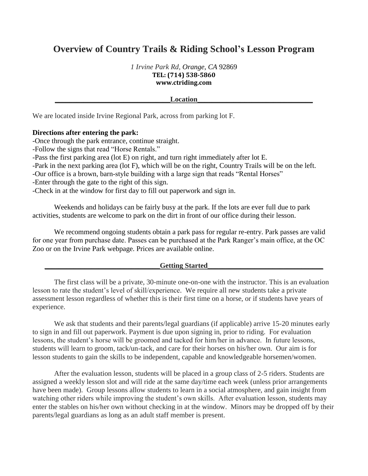# **Overview of Country Trails & Riding School's Lesson Program**

*1 Irvine Park Rd, Orange, CA* 92869 **TEL: (714) 538-5860 www.ctriding.com**

**Details and the contract of the contract of the contract of the contract of the contract of the contract of the contract of the contract of the contract of the contract of the contract of the contract of the contract of t** 

We are located inside Irvine Regional Park, across from parking lot F.

# **Directions after entering the park:**

-Once through the park entrance, continue straight.

-Follow the signs that read "Horse Rentals."

-Pass the first parking area (lot E) on right, and turn right immediately after lot E.

-Park in the next parking area (lot F), which will be on the right, Country Trails will be on the left.

-Our office is a brown, barn-style building with a large sign that reads "Rental Horses"

-Enter through the gate to the right of this sign.

-Check in at the window for first day to fill out paperwork and sign in.

Weekends and holidays can be fairly busy at the park. If the lots are ever full due to park activities, students are welcome to park on the dirt in front of our office during their lesson.

We recommend ongoing students obtain a park pass for regular re-entry. Park passes are valid for one year from purchase date. Passes can be purchased at the Park Ranger's main office, at the OC Zoo or on the Irvine Park webpage. Prices are available online.

# Getting Started

The first class will be a private, 30-minute one-on-one with the instructor. This is an evaluation lesson to rate the student's level of skill/experience. We require all new students take a private assessment lesson regardless of whether this is their first time on a horse, or if students have years of experience.

We ask that students and their parents/legal guardians (if applicable) arrive 15-20 minutes early to sign in and fill out paperwork. Payment is due upon signing in, prior to riding. For evaluation lessons, the student's horse will be groomed and tacked for him/her in advance. In future lessons, students will learn to groom, tack/un-tack, and care for their horses on his/her own. Our aim is for lesson students to gain the skills to be independent, capable and knowledgeable horsemen/women.

After the evaluation lesson, students will be placed in a group class of 2-5 riders. Students are assigned a weekly lesson slot and will ride at the same day/time each week (unless prior arrangements have been made). Group lessons allow students to learn in a social atmosphere, and gain insight from watching other riders while improving the student's own skills. After evaluation lesson, students may enter the stables on his/her own without checking in at the window. Minors may be dropped off by their parents/legal guardians as long as an adult staff member is present.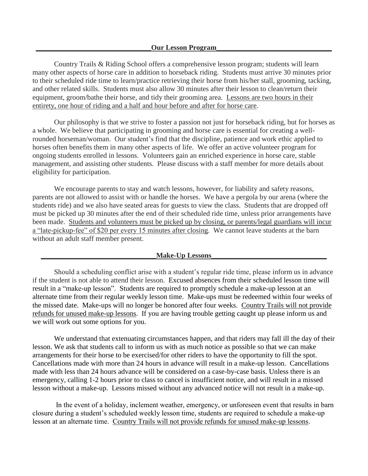Country Trails & Riding School offers a comprehensive lesson program; students will learn many other aspects of horse care in addition to horseback riding. Students must arrive 30 minutes prior to their scheduled ride time to learn/practice retrieving their horse from his/her stall, grooming, tacking, and other related skills. Students must also allow 30 minutes after their lesson to clean/return their equipment, groom/bathe their horse, and tidy their grooming area. Lessons are two hours in their entirety, one hour of riding and a half and hour before and after for horse care.

Our philosophy is that we strive to foster a passion not just for horseback riding, but for horses as a whole. We believe that participating in grooming and horse care is essential for creating a wellrounded horseman/woman. Our student's find that the discipline, patience and work ethic applied to horses often benefits them in many other aspects of life. We offer an active volunteer program for ongoing students enrolled in lessons. Volunteers gain an enriched experience in horse care, stable management, and assisting other students. Please discuss with a staff member for more details about eligibility for participation.

We encourage parents to stay and watch lessons, however, for liability and safety reasons, parents are not allowed to assist with or handle the horses. We have a pergola by our arena (where the students ride) and we also have seated areas for guests to view the class. Students that are dropped off must be picked up 30 minutes after the end of their scheduled ride time, unless prior arrangements have been made. Students and volunteers must be picked up by closing, or parents/legal guardians will incur a "late-pickup-fee" of \$20 per every 15 minutes after closing. We cannot leave students at the barn without an adult staff member present.

#### **Make-Up Lessons**

Should a scheduling conflict arise with a student's regular ride time, please inform us in advance if the student is not able to attend their lesson. Excused absences from their scheduled lesson time will result in a "make-up lesson". Students are required to promptly schedule a make-up lesson at an alternate time from their regular weekly lesson time. Make-ups must be redeemed within four weeks of the missed date. Make-ups will no longer be honored after four weeks. Country Trails will not provide refunds for unused make-up lessons. If you are having trouble getting caught up please inform us and we will work out some options for you.

We understand that extenuating circumstances happen, and that riders may fall ill the day of their lesson. We ask that students call to inform us with as much notice as possible so that we can make arrangements for their horse to be exercised/for other riders to have the opportunity to fill the spot. Cancellations made with more than 24 hours in advance will result in a make-up lesson. Cancellations made with less than 24 hours advance will be considered on a case-by-case basis. Unless there is an emergency, calling 1-2 hours prior to class to cancel is insufficient notice, and will result in a missed lesson without a make-up. Lessons missed without any advanced notice will not result in a make-up.

In the event of a holiday, inclement weather, emergency, or unforeseen event that results in barn closure during a student's scheduled weekly lesson time, students are required to schedule a make-up lesson at an alternate time. Country Trails will not provide refunds for unused make-up lessons.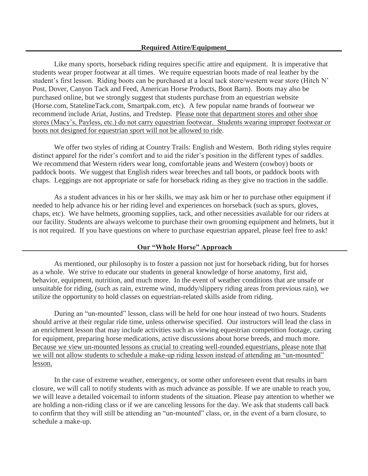Like many sports, horseback riding requires specific attire and equipment. It is imperative that students wear proper footwear at all times. We require equestrian boots made of real leather by the student's first lesson. Riding boots can be purchased at a local tack store/western wear store (Hitch N' Post, Dover, Canyon Tack and Feed, American Horse Products, Boot Barn). Boots may also be purchased online, but we strongly suggest that students purchase from an equestrian website (Horse.com, StatelineTack.com, Smartpak.com, etc). A few popular name brands of footwear we recommend include Ariat, Justins, and Tredstep. Please note that department stores and other shoe stores (Macy's, Payless, etc.) do not carry equestrian footwear. Students wearing improper footwear or boots not designed for equestrian sport will not be allowed to ride.

We offer two styles of riding at Country Trails: English and Western. Both riding styles require distinct apparel for the rider's comfort and to aid the rider's position in the different types of saddles. We recommend that Western riders wear long, comfortable jeans and Western (cowboy) boots or paddock boots. We suggest that English riders wear breeches and tall boots, or paddock boots with chaps. Leggings are not appropriate or safe for horseback riding as they give no traction in the saddle.

As a student advances in his or her skills, we may ask him or her to purchase other equipment if needed to help advance his or her riding level and experiences on horseback (such as spurs, gloves, chaps, etc). We have helmets, grooming supplies, tack, and other necessities available for our riders at our facility. Students are always welcome to purchase their own grooming equipment and helmets, but it is not required. If you have questions on where to purchase equestrian apparel, please feel free to ask!

## **Our "Whole Horse" Approach**

As mentioned, our philosophy is to foster a passion not just for horseback riding, but for horses as a whole. We strive to educate our students in general knowledge of horse anatomy, first aid, behavior, equipment, nutrition, and much more. In the event of weather conditions that are unsafe or unsuitable for riding, (such as rain, extreme wind, muddy/slippery riding areas from previous rain), we utilize the opportunity to hold classes on equestrian-related skills aside from riding.

During an "un-mounted" lesson, class will be held for one hour instead of two hours. Students should arrive at their regular ride time, unless otherwise specified. Our instructors will lead the class in an enrichment lesson that may include activities such as viewing equestrian competition footage, caring for equipment, preparing horse medications, active discussions about horse breeds, and much more. Because we view un-mounted lessons as crucial to creating well-rounded equestrians, please note that we will not allow students to schedule a make-up riding lesson instead of attending an "un-mounted" lesson.

In the case of extreme weather, emergency, or some other unforeseen event that results in barn closure, we will call to notify students with as much advance as possible. If we are unable to reach you, we will leave a detailed voicemail to inform students of the situation. Please pay attention to whether we are holding a non-riding class or if we are canceling lessons for the day. We ask that students call back to confirm that they will still be attending an "un-mounted" class, or, in the event of a barn closure, to schedule a make-up.